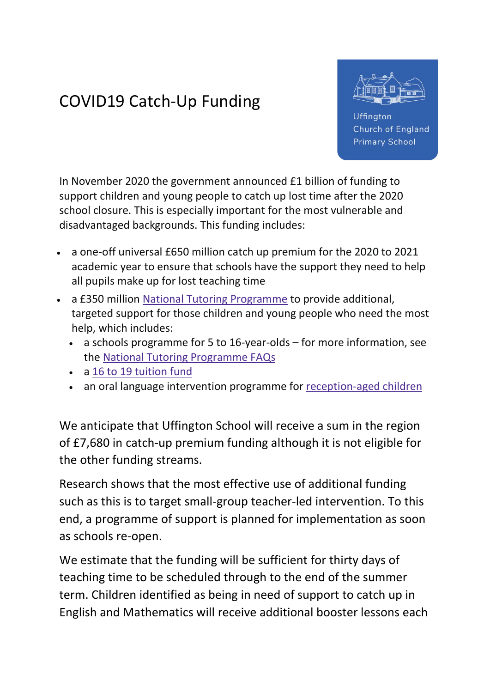## COVID19 Catch-Up Funding



Uffington **Church of England Primary School** 

In November 2020 the government announced £1 billion of funding to support children and young people to catch up lost time after the 2020 school closure. This is especially important for the most vulnerable and disadvantaged backgrounds. This funding includes:

- a one-off universal £650 million catch up premium for the 2020 to 2021 academic year to ensure that schools have the support they need to help all pupils make up for lost teaching time
- a £350 million National Tutoring Programme to provide additional, targeted support for those children and young people who need the most help, which includes:
	- a schools programme for 5 to 16-year-olds for more information, see the National Tutoring Programme FAQs
	- a 16 to 19 tuition fund
	- an oral language intervention programme for reception-aged children

We anticipate that Uffington School will receive a sum in the region of £7,680 in catch-up premium funding although it is not eligible for the other funding streams.

Research shows that the most effective use of additional funding such as this is to target small-group teacher-led intervention. To this end, a programme of support is planned for implementation as soon as schools re-open.

We estimate that the funding will be sufficient for thirty days of teaching time to be scheduled through to the end of the summer term. Children identified as being in need of support to catch up in English and Mathematics will receive additional booster lessons each